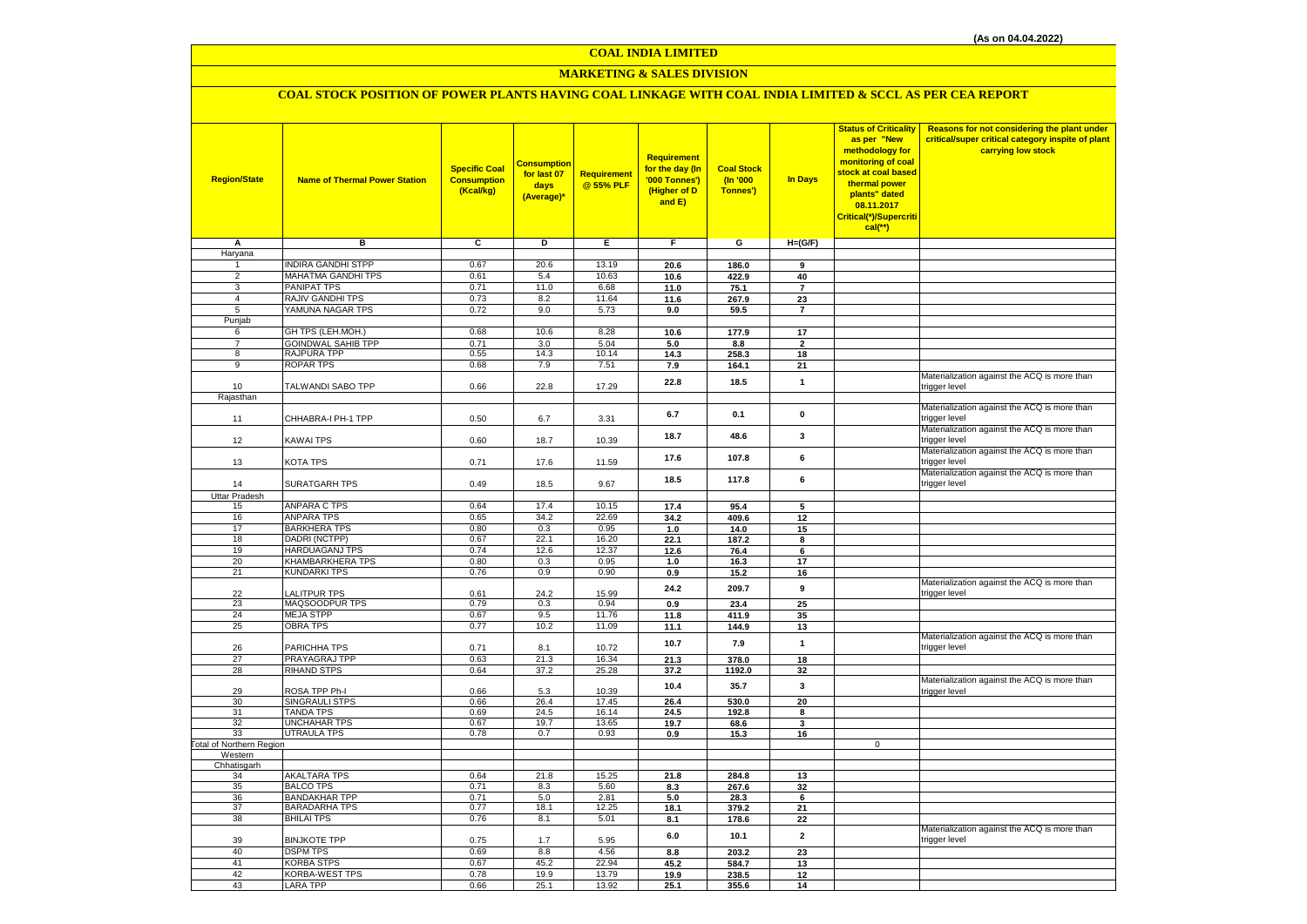# **MARKETING & SALES DIVISION**

## **COAL STOCK POSITION OF POWER PLANTS HAVING COAL LINKAGE WITH COAL INDIA LIMITED & SCCL AS PER CEA REPORT**

| <b>Region/State</b>              | <b>Name of Thermal Power Station</b>      | <b>Specific Coal</b><br><b>Consumption</b><br>(Kcal/kg) | <mark>Consumption</mark><br>for last 07<br>days<br>(Average)* | Requirement<br>@ 55% PLF | Requirement<br>for the day (In<br>'000 Tonnes')<br>(Higher of D<br>and E) | <b>Coal Stock</b><br>(n'000)<br>Tonnes') | In Days                 | <b>Status of Criticality</b><br>as per "New<br>methodology for<br>monitoring of coal<br>stock at coal based<br>thermal power<br>plants" dated<br>08.11.2017<br>Critical(*)/Supercriti<br>$cal$ (**) | Reasons for not considering the plant under<br>critical/super critical category inspite of plant<br>carrying low stock |
|----------------------------------|-------------------------------------------|---------------------------------------------------------|---------------------------------------------------------------|--------------------------|---------------------------------------------------------------------------|------------------------------------------|-------------------------|-----------------------------------------------------------------------------------------------------------------------------------------------------------------------------------------------------|------------------------------------------------------------------------------------------------------------------------|
| Α                                | в                                         | c                                                       | D                                                             | Е                        | F.                                                                        | G                                        | $H=(G/F)$               |                                                                                                                                                                                                     |                                                                                                                        |
| Haryana                          |                                           |                                                         |                                                               |                          |                                                                           |                                          |                         |                                                                                                                                                                                                     |                                                                                                                        |
| 1                                | <b>INDIRA GANDHI STPP</b>                 | 0.67                                                    | 20.6                                                          | 13.19                    | 20.6                                                                      | 186.0                                    | 9                       |                                                                                                                                                                                                     |                                                                                                                        |
| $\overline{2}$                   | MAHATMA GANDHI TPS                        | 0.61                                                    | 5.4                                                           | 10.63                    | 10.6                                                                      | 422.9                                    | 40                      |                                                                                                                                                                                                     |                                                                                                                        |
| $\overline{3}$<br>$\overline{4}$ | PANIPAT TPS<br>RAJIV GANDHI TPS           | 0.71<br>0.73                                            | 11.0<br>8.2                                                   | 6.68<br>11.64            | 11.0                                                                      | 75.1                                     | $\overline{\mathbf{r}}$ |                                                                                                                                                                                                     |                                                                                                                        |
| 5                                | YAMUNA NAGAR TPS                          | 0.72                                                    | 9.0                                                           | 5.73                     | 11.6                                                                      | 267.9                                    | 23<br>$\overline{7}$    |                                                                                                                                                                                                     |                                                                                                                        |
| Punjab                           |                                           |                                                         |                                                               |                          | 9.0                                                                       | 59.5                                     |                         |                                                                                                                                                                                                     |                                                                                                                        |
| 6                                | GH TPS (LEH.MOH.)                         | 0.68                                                    | 10.6                                                          | 8.28                     | 10.6                                                                      | 177.9                                    | 17                      |                                                                                                                                                                                                     |                                                                                                                        |
| $\overline{7}$                   | <b>GOINDWAL SAHIB TPP</b>                 | 0.71                                                    | 3.0                                                           | 5.04                     | 5.0                                                                       | 8.8                                      | $\overline{2}$          |                                                                                                                                                                                                     |                                                                                                                        |
| 8                                | RAJPURA TPP                               | 0.55                                                    | 14.3                                                          | 10.14                    | 14.3                                                                      | 258.3                                    | 18                      |                                                                                                                                                                                                     |                                                                                                                        |
| $\overline{9}$                   | <b>ROPAR TPS</b>                          | 0.68                                                    | 7.9                                                           | 7.51                     | 7.9                                                                       | 164.1                                    | 21                      |                                                                                                                                                                                                     |                                                                                                                        |
|                                  |                                           |                                                         |                                                               |                          | 22.8                                                                      | 18.5                                     | $\mathbf{1}$            |                                                                                                                                                                                                     | Materialization against the ACQ is more than                                                                           |
| 10                               | TALWANDI SABO TPP                         | 0.66                                                    | 22.8                                                          | 17.29                    |                                                                           |                                          |                         |                                                                                                                                                                                                     | trigger level                                                                                                          |
| Rajasthan                        |                                           |                                                         |                                                               |                          |                                                                           |                                          |                         |                                                                                                                                                                                                     | Materialization against the ACQ is more than                                                                           |
|                                  | CHHABRA-I PH-1 TPP                        | 0.50                                                    |                                                               |                          | 6.7                                                                       | 0.1                                      | $\mathbf 0$             |                                                                                                                                                                                                     | trigger level                                                                                                          |
| 11                               |                                           |                                                         | 6.7                                                           | 3.31                     |                                                                           |                                          |                         |                                                                                                                                                                                                     | Materialization against the ACQ is more than                                                                           |
| 12                               | KAWAI TPS                                 | 0.60                                                    | 18.7                                                          | 10.39                    | 18.7                                                                      | 48.6                                     | 3                       |                                                                                                                                                                                                     | trigger level                                                                                                          |
|                                  |                                           |                                                         |                                                               |                          |                                                                           |                                          |                         |                                                                                                                                                                                                     | Materialization against the ACQ is more than                                                                           |
| 13                               | KOTA TPS                                  | 0.71                                                    | 17.6                                                          | 11.59                    | 17.6                                                                      | 107.8                                    | 6                       |                                                                                                                                                                                                     | trigger level                                                                                                          |
|                                  |                                           |                                                         |                                                               |                          | 18.5                                                                      | 117.8                                    | 6                       |                                                                                                                                                                                                     | Materialization against the ACQ is more than                                                                           |
| 14                               | <b>SURATGARH TPS</b>                      | 0.49                                                    | 18.5                                                          | 9.67                     |                                                                           |                                          |                         |                                                                                                                                                                                                     | trigger level                                                                                                          |
| <b>Uttar Pradesh</b>             |                                           |                                                         |                                                               |                          |                                                                           |                                          |                         |                                                                                                                                                                                                     |                                                                                                                        |
| 15                               | <b>ANPARA C TPS</b>                       | 0.64                                                    | 17.4                                                          | 10.15                    | 17.4                                                                      | 95.4                                     | 5                       |                                                                                                                                                                                                     |                                                                                                                        |
| 16                               | <b>ANPARA TPS</b>                         | 0.65                                                    | 34.2                                                          | 22.69                    | 34.2                                                                      | 409.6                                    | 12                      |                                                                                                                                                                                                     |                                                                                                                        |
| 17<br>18                         | <b>BARKHERA TPS</b><br>DADRI (NCTPP)      | 0.80<br>0.67                                            | 0.3<br>22.1                                                   | 0.95<br>16.20            | 1.0<br>22.1                                                               | 14.0<br>187.2                            | 15<br>8                 |                                                                                                                                                                                                     |                                                                                                                        |
| 19                               | HARDUAGANJ TPS                            | 0.74                                                    | 12.6                                                          | 12.37                    | 12.6                                                                      | 76.4                                     | 6                       |                                                                                                                                                                                                     |                                                                                                                        |
| 20                               | KHAMBARKHERA TPS                          | 0.80                                                    | 0.3                                                           | 0.95                     | 1.0                                                                       | 16.3                                     | 17                      |                                                                                                                                                                                                     |                                                                                                                        |
| 21                               | <b>KUNDARKI TPS</b>                       | 0.76                                                    | 0.9                                                           | 0.90                     | 0.9                                                                       | 15.2                                     | 16                      |                                                                                                                                                                                                     |                                                                                                                        |
|                                  |                                           |                                                         |                                                               |                          | 24.2                                                                      | 209.7                                    | 9                       |                                                                                                                                                                                                     | Materialization against the ACQ is more than                                                                           |
| 22                               | <b>ALITPUR TPS</b>                        | 0.61                                                    | 24.2                                                          | 15.99                    |                                                                           |                                          |                         |                                                                                                                                                                                                     | trigger level                                                                                                          |
| 23                               | MAQSOODPUR TPS                            | 0.79                                                    | 0.3                                                           | 0.94                     | 0.9                                                                       | 23.4                                     | 25                      |                                                                                                                                                                                                     |                                                                                                                        |
| 24                               | <b>MEJA STPP</b>                          | 0.67                                                    | 9.5                                                           | 11.76                    | 11.8                                                                      | 411.9                                    | 35                      |                                                                                                                                                                                                     |                                                                                                                        |
| 25                               | <b>OBRA TPS</b>                           | 0.77                                                    | 10.2                                                          | 11.09                    | 11.1                                                                      | 144.9                                    | 13                      |                                                                                                                                                                                                     | Materialization against the ACQ is more than                                                                           |
| 26                               | PARICHHA TPS                              | 0.71                                                    | 8.1                                                           | 10.72                    | 10.7                                                                      | 7.9                                      | $\mathbf{1}$            |                                                                                                                                                                                                     | trigger level                                                                                                          |
| 27                               | PRAYAGRAJ TPP                             | 0.63                                                    | 21.3                                                          | 16.34                    | 21.3                                                                      | 378.0                                    | 18                      |                                                                                                                                                                                                     |                                                                                                                        |
| 28                               | <b>RIHAND STPS</b>                        | 0.64                                                    | 37.2                                                          | 25.28                    | 37.2                                                                      | 1192.0                                   | 32                      |                                                                                                                                                                                                     |                                                                                                                        |
|                                  |                                           |                                                         |                                                               |                          |                                                                           | 35.7                                     | 3                       |                                                                                                                                                                                                     | Materialization against the ACQ is more than                                                                           |
| 29                               | ROSA TPP Ph-I                             | 0.66                                                    | 5.3                                                           | 10.39                    | 10.4                                                                      |                                          |                         |                                                                                                                                                                                                     | trigger level                                                                                                          |
| 30                               | SINGRAULI STPS                            | 0.66                                                    | 26.4                                                          | 17.45                    | 26.4                                                                      | 530.0                                    | 20                      |                                                                                                                                                                                                     |                                                                                                                        |
| 31                               | <b>TANDA TPS</b><br>UNCHAHAR TPS          | 0.69                                                    | 24.5                                                          | 16.14                    | 24.5                                                                      | 192.8                                    | 8                       |                                                                                                                                                                                                     |                                                                                                                        |
| 32<br>33                         | <b>UTRAULA TPS</b>                        | 0.67<br>0.78                                            | 19.7<br>0.7                                                   | 13.65<br>0.93            | 19.7<br>0.9                                                               | 68.6<br>15.3                             | 3<br>16                 |                                                                                                                                                                                                     |                                                                                                                        |
| Total of Northern Region         |                                           |                                                         |                                                               |                          |                                                                           |                                          |                         | $\mathbf 0$                                                                                                                                                                                         |                                                                                                                        |
| Western                          |                                           |                                                         |                                                               |                          |                                                                           |                                          |                         |                                                                                                                                                                                                     |                                                                                                                        |
| Chhatisgarh                      |                                           |                                                         |                                                               |                          |                                                                           |                                          |                         |                                                                                                                                                                                                     |                                                                                                                        |
| 34                               | <b>AKALTARA TPS</b>                       | 0.64                                                    | 21.8                                                          | 15.25                    | 21.8                                                                      | 284.8                                    | 13                      |                                                                                                                                                                                                     |                                                                                                                        |
| 35                               | <b>BALCO TPS</b>                          | 0.71                                                    | 8.3                                                           | 5.60                     | 8.3                                                                       | 267.6                                    | 32                      |                                                                                                                                                                                                     |                                                                                                                        |
| 36                               | <b>BANDAKHAR TPP</b>                      | 0.71                                                    | 5.0                                                           | 2.81                     | 5.0                                                                       | 28.3                                     | 6                       |                                                                                                                                                                                                     |                                                                                                                        |
| 37<br>38                         | <b>BARADARHA TPS</b><br><b>BHILAI TPS</b> | 0.77<br>0.76                                            | 18.1                                                          | 12.25                    | 18.1                                                                      | 379.2                                    | 21                      |                                                                                                                                                                                                     |                                                                                                                        |
|                                  |                                           |                                                         | 8.1                                                           | 5.01                     | 8.1                                                                       | 178.6                                    | 22                      |                                                                                                                                                                                                     | Materialization against the ACQ is more than                                                                           |
| 39                               | <b>BINJKOTE TPP</b>                       | 0.75                                                    | 1.7                                                           | 5.95                     | 6.0                                                                       | 10.1                                     | $\mathbf{2}$            |                                                                                                                                                                                                     | trigger level                                                                                                          |
| 40                               | <b>DSPM TPS</b>                           | 0.69                                                    | 8.8                                                           | 4.56                     | 8.8                                                                       | 203.2                                    | 23                      |                                                                                                                                                                                                     |                                                                                                                        |
| 41                               | <b>KORBA STPS</b>                         | 0.67                                                    | 45.2                                                          | 22.94                    | 45.2                                                                      | 584.7                                    | 13                      |                                                                                                                                                                                                     |                                                                                                                        |
| 42                               | KORBA-WEST TPS                            | 0.78                                                    | 19.9                                                          | 13.79                    | 19.9                                                                      | 238.5                                    | 12                      |                                                                                                                                                                                                     |                                                                                                                        |
| 43                               | LARA TPP                                  | 0.66                                                    | 25.1                                                          | 13.92                    | 25.1                                                                      | 355.6                                    | 14                      |                                                                                                                                                                                                     |                                                                                                                        |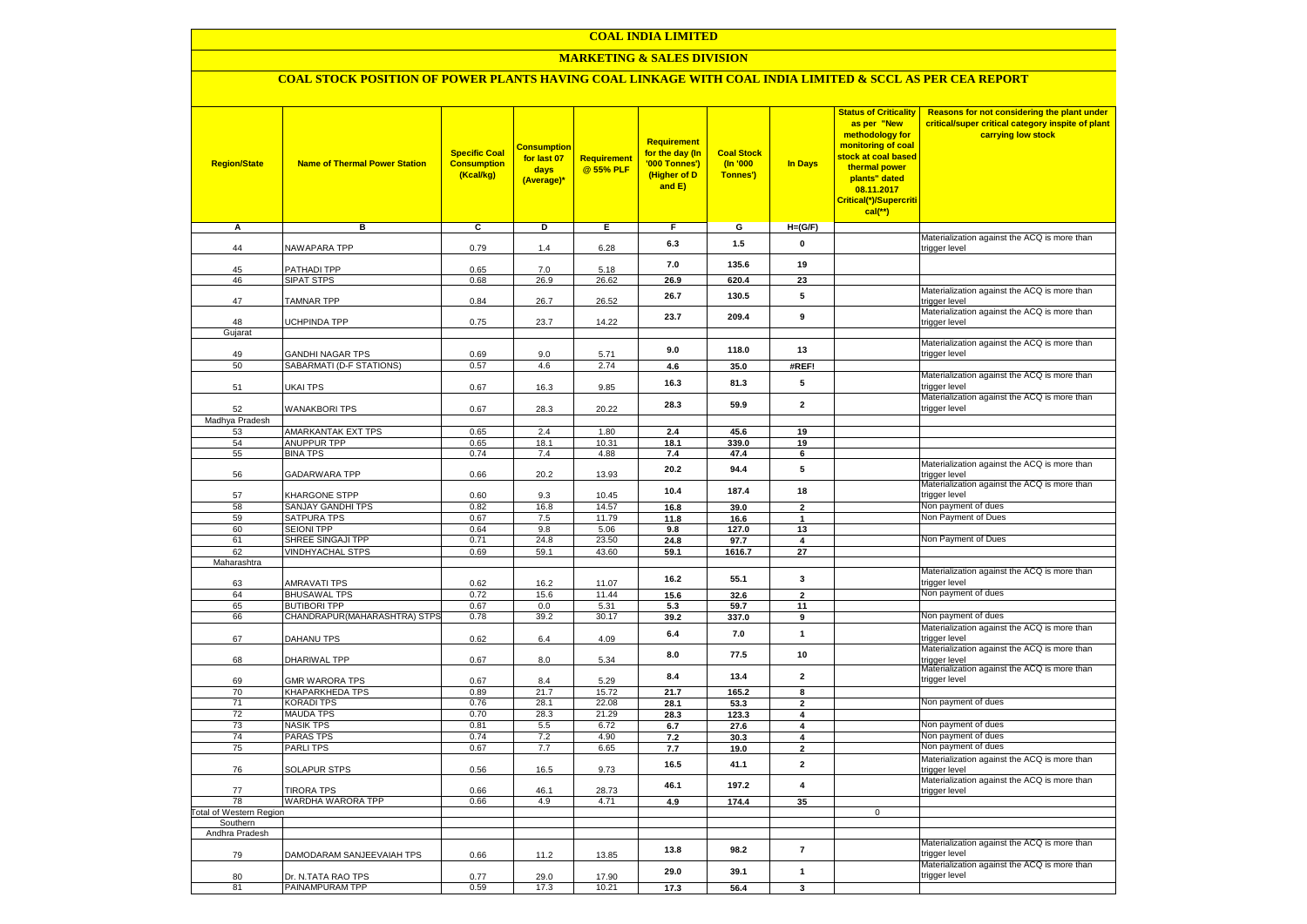### **MARKETING & SALES DIVISION**

### **COAL STOCK POSITION OF POWER PLANTS HAVING COAL LINKAGE WITH COAL INDIA LIMITED & SCCL AS PER CEA REPORT**

| <b>Region/State</b>        | <b>Name of Thermal Power Station</b>                | <b>Specific Coal</b><br><b>Consumption</b><br>(Kcal/kg) | <mark>Consumption</mark><br>for last 07<br>days<br>(Average)* | <b>Requirement</b><br>@ 55% PLF | <b>Requirement</b><br>for the day (In<br>'000 Tonnes')<br>(Higher of D<br>and E) | <b>Coal Stock</b><br>(In '000<br>Tonnes') | <b>In Days</b>                | <b>Status of Criticality</b><br>as per "New<br>methodology for<br>monitoring of coal<br>stock at coal based<br>thermal power<br>plants" dated<br>08.11.2017<br>Critical(*)/Supercriti<br>$cal$ (**) | Reasons for not considering the plant under<br>critical/super critical category inspite of plant<br>carrying low stock |
|----------------------------|-----------------------------------------------------|---------------------------------------------------------|---------------------------------------------------------------|---------------------------------|----------------------------------------------------------------------------------|-------------------------------------------|-------------------------------|-----------------------------------------------------------------------------------------------------------------------------------------------------------------------------------------------------|------------------------------------------------------------------------------------------------------------------------|
| Α                          | в                                                   | c                                                       | Þ                                                             | Е                               | F                                                                                | G                                         | $H=(G/F)$                     |                                                                                                                                                                                                     |                                                                                                                        |
|                            | <b>NAWAPARA TPP</b>                                 | 0.79                                                    |                                                               | 6.28                            | 6.3                                                                              | 1.5                                       | 0                             |                                                                                                                                                                                                     | Materialization against the ACQ is more than                                                                           |
| 44                         |                                                     |                                                         | 1.4                                                           |                                 |                                                                                  |                                           |                               |                                                                                                                                                                                                     | trigger level                                                                                                          |
| 45                         | <b>PATHADI TPP</b>                                  | 0.65                                                    | 7.0                                                           | 5.18                            | 7.0                                                                              | 135.6                                     | 19                            |                                                                                                                                                                                                     |                                                                                                                        |
| 46                         | SIPAT STPS                                          | 0.68                                                    | 26.9                                                          | 26.62                           | 26.9                                                                             | 620.4                                     | 23                            |                                                                                                                                                                                                     |                                                                                                                        |
| 47                         | <b>TAMNAR TPP</b>                                   | 0.84                                                    | 26.7                                                          | 26.52                           | 26.7                                                                             | 130.5                                     | 5                             |                                                                                                                                                                                                     | Materialization against the ACQ is more than<br>trigger level                                                          |
|                            |                                                     |                                                         |                                                               |                                 | 23.7                                                                             | 209.4                                     | 9                             |                                                                                                                                                                                                     | Materialization against the ACQ is more than                                                                           |
| 48<br>Gujarat              | <b>JCHPINDA TPP</b>                                 | 0.75                                                    | 23.7                                                          | 14.22                           |                                                                                  |                                           |                               |                                                                                                                                                                                                     | trigger level                                                                                                          |
|                            |                                                     |                                                         |                                                               |                                 |                                                                                  |                                           |                               |                                                                                                                                                                                                     | Materialization against the ACQ is more than                                                                           |
| 49                         | <b>GANDHI NAGAR TPS</b>                             | 0.69                                                    | 9.0                                                           | 5.71                            | 9.0                                                                              | 118.0                                     | 13                            |                                                                                                                                                                                                     | trigger level                                                                                                          |
| 50                         | SABARMATI (D-F STATIONS)                            | 0.57                                                    | 4.6                                                           | 2.74                            | 4.6                                                                              | 35.0                                      | #REF!                         |                                                                                                                                                                                                     |                                                                                                                        |
| 51                         | UKAI TPS                                            | 0.67                                                    | 16.3                                                          | 9.85                            | 16.3                                                                             | 81.3                                      | 5                             |                                                                                                                                                                                                     | Materialization against the ACQ is more than<br>trigger level                                                          |
| 52                         | <b>WANAKBORI TPS</b>                                | 0.67                                                    | 28.3                                                          | 20.22                           | 28.3                                                                             | 59.9                                      | $\mathbf{2}$                  |                                                                                                                                                                                                     | Materialization against the ACQ is more than<br>trigger level                                                          |
| Madhya Pradesh             |                                                     |                                                         |                                                               |                                 |                                                                                  |                                           |                               |                                                                                                                                                                                                     |                                                                                                                        |
| 53<br>54                   | AMARKANTAK EXT TPS<br><b>ANUPPUR TPP</b>            | 0.65<br>0.65                                            | 2.4<br>18.1                                                   | 1.80<br>10.31                   | 2.4<br>18.1                                                                      | 45.6<br>339.0                             | 19<br>19                      |                                                                                                                                                                                                     |                                                                                                                        |
| 55                         | <b>BINA TPS</b>                                     | 0.74                                                    | 7.4                                                           | 4.88                            | 7.4                                                                              | 47.4                                      | 6                             |                                                                                                                                                                                                     |                                                                                                                        |
| 56                         | GADARWARA TPP                                       | 0.66                                                    | 20.2                                                          | 13.93                           | 20.2                                                                             | 94.4                                      | 5                             |                                                                                                                                                                                                     | Materialization against the ACQ is more than<br>trigger level                                                          |
| 57                         | KHARGONE STPP                                       | 0.60                                                    | 9.3                                                           | 10.45                           | 10.4                                                                             | 187.4                                     | 18                            |                                                                                                                                                                                                     | Materialization against the ACQ is more than<br>trigger level                                                          |
| 58                         | SANJAY GANDHI TPS                                   | 0.82                                                    | 16.8                                                          | 14.57                           | 16.8                                                                             | 39.0                                      | $\mathbf{2}$                  |                                                                                                                                                                                                     | Non payment of dues                                                                                                    |
| 59                         | SATPURA TPS                                         | 0.67                                                    | 7.5                                                           | 11.79                           | 11.8                                                                             | 16.6                                      | $\mathbf{1}$                  |                                                                                                                                                                                                     | Non Payment of Dues                                                                                                    |
| 60                         | <b>SEIONI TPP</b>                                   | 0.64                                                    | 9.8                                                           | 5.06                            | 9.8                                                                              | 127.0                                     | 13                            |                                                                                                                                                                                                     |                                                                                                                        |
| 61<br>62                   | SHREE SINGAJI TPP<br><b>VINDHYACHAL STPS</b>        | 0.71<br>0.69                                            | 24.8<br>59.1                                                  | 23.50<br>43.60                  | 24.8                                                                             | 97.7                                      | $\overline{\mathbf{4}}$<br>27 |                                                                                                                                                                                                     | Non Payment of Dues                                                                                                    |
| Maharashtra                |                                                     |                                                         |                                                               |                                 | 59.1                                                                             | 1616.7                                    |                               |                                                                                                                                                                                                     |                                                                                                                        |
|                            |                                                     |                                                         |                                                               |                                 |                                                                                  |                                           | 3                             |                                                                                                                                                                                                     | Materialization against the ACQ is more than                                                                           |
| 63                         | AMRAVATI TPS                                        | 0.62                                                    | 16.2                                                          | 11.07                           | 16.2                                                                             | 55.1                                      |                               |                                                                                                                                                                                                     | trigger level                                                                                                          |
| 64                         | <b>BHUSAWAL TPS</b>                                 | 0.72                                                    | 15.6                                                          | 11.44                           | 15.6                                                                             | 32.6                                      | $\overline{2}$                |                                                                                                                                                                                                     | Non payment of dues                                                                                                    |
| 65<br>66                   | <b>BUTIBORI TPP</b><br>CHANDRAPUR(MAHARASHTRA) STPS | 0.67<br>0.78                                            | 0.0<br>39.2                                                   | 5.31<br>30.17                   | 5.3<br>39.2                                                                      | 59.7<br>337.0                             | 11<br>9                       |                                                                                                                                                                                                     | Non payment of dues                                                                                                    |
|                            |                                                     |                                                         |                                                               |                                 |                                                                                  |                                           |                               |                                                                                                                                                                                                     | Materialization against the ACQ is more than                                                                           |
| 67                         | DAHANU TPS                                          | 0.62                                                    | 6.4                                                           | 4.09                            | 6.4                                                                              | 7.0                                       | $\mathbf{1}$                  |                                                                                                                                                                                                     | trigger level                                                                                                          |
| 68                         | DHARIWAL TPP                                        | 0.67                                                    | 8.0                                                           | 5.34                            | 8.0                                                                              | 77.5                                      | 10                            |                                                                                                                                                                                                     | Materialization against the ACQ is more than<br>trigger level                                                          |
| 69                         | <b>GMR WARORA TPS</b>                               | 0.67                                                    | 8.4                                                           | 5.29                            | 8.4                                                                              | 13.4                                      | $\overline{\mathbf{2}}$       |                                                                                                                                                                                                     | Materialization against the ACQ is more than<br>trigger level                                                          |
| 70                         | KHAPARKHEDA TPS                                     | 0.89                                                    | 21.7                                                          | 15.72                           | 21.7                                                                             | 165.2                                     | 8                             |                                                                                                                                                                                                     |                                                                                                                        |
| 71<br>72                   | KORADI TPS<br><b>MAUDA TPS</b>                      | 0.76<br>0.70                                            | 28.1<br>28.3                                                  | 22.08<br>21.29                  | 28.1<br>28.3                                                                     | 53.3<br>123.3                             | $\mathbf{2}$<br>4             |                                                                                                                                                                                                     | Non payment of dues                                                                                                    |
| 73                         | <b>NASIK TPS</b>                                    | 0.81                                                    | 5.5                                                           | 6.72                            | 6.7                                                                              | 27.6                                      | 4                             |                                                                                                                                                                                                     | Non payment of dues                                                                                                    |
| 74                         | <b>PARAS TPS</b>                                    | 0.74                                                    | 7.2                                                           | 4.90                            | 7.2                                                                              | 30.3                                      | 4                             |                                                                                                                                                                                                     | Non payment of dues                                                                                                    |
| 75                         | <b>PARLITPS</b>                                     | 0.67                                                    | 7.7                                                           | 6.65                            | 7.7                                                                              | 19.0                                      | $\overline{2}$                |                                                                                                                                                                                                     | Non payment of dues                                                                                                    |
| 76                         | <b>SOLAPUR STPS</b>                                 | 0.56                                                    | 16.5                                                          | 9.73                            | 16.5                                                                             | 41.1                                      | $\overline{2}$                |                                                                                                                                                                                                     | Materialization against the ACQ is more than<br>trigger level                                                          |
| 77                         | <b>TIRORA TPS</b>                                   | 0.66                                                    | 46.1                                                          | 28.73                           | 46.1                                                                             | 197.2                                     | $\overline{\mathbf{4}}$       |                                                                                                                                                                                                     | Materialization against the ACQ is more than<br>trigger level                                                          |
| 78                         | WARDHA WARORA TPP                                   | 0.66                                                    | 4.9                                                           | 4.71                            | 4.9                                                                              | 174.4                                     | 35                            |                                                                                                                                                                                                     |                                                                                                                        |
| otal of Western Region     |                                                     |                                                         |                                                               |                                 |                                                                                  |                                           |                               | $\mathbf 0$                                                                                                                                                                                         |                                                                                                                        |
| Southern<br>Andhra Pradesh |                                                     |                                                         |                                                               |                                 |                                                                                  |                                           |                               |                                                                                                                                                                                                     |                                                                                                                        |
| 79                         | DAMODARAM SANJEEVAIAH TPS                           | 0.66                                                    | 11.2                                                          | 13.85                           | 13.8                                                                             | 98.2                                      | $\overline{7}$                |                                                                                                                                                                                                     | Materialization against the ACQ is more than<br>trigger level                                                          |
| 80                         | Dr. N.TATA RAO TPS                                  | 0.77                                                    | 29.0                                                          | 17.90                           | 29.0                                                                             | 39.1                                      | $\mathbf{1}$                  |                                                                                                                                                                                                     | Materialization against the ACQ is more than<br>trigger level                                                          |
| 81                         | PAINAMPURAM TPP                                     | 0.59                                                    | 17.3                                                          | 10.21                           | 17.3                                                                             | 56.4                                      | 3                             |                                                                                                                                                                                                     |                                                                                                                        |
|                            |                                                     |                                                         |                                                               |                                 |                                                                                  |                                           |                               |                                                                                                                                                                                                     |                                                                                                                        |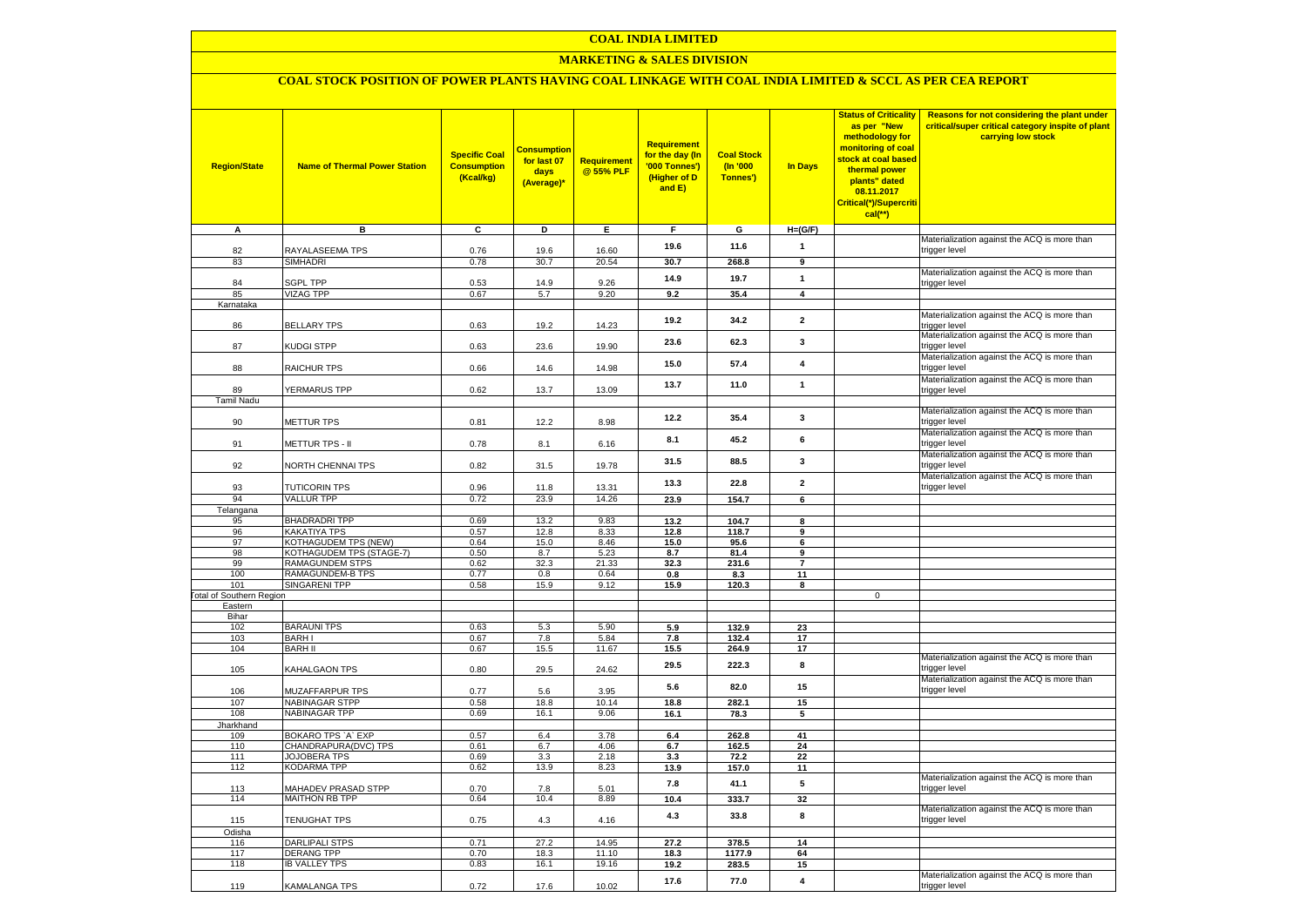### **MARKETING & SALES DIVISION**

# **COAL STOCK POSITION OF POWER PLANTS HAVING COAL LINKAGE WITH COAL INDIA LIMITED & SCCL AS PER CEA REPORT**

| <b>Region/State</b>                        | <b>Name of Thermal Power Station</b>          | <b>Specific Coal</b><br><b>Consumption</b><br>(Kcal/kg) | <b>Consumption</b><br>for last 07<br>days<br>(Average)* | <b>Requirement</b><br>@ 55% PLF | <b>Requirement</b><br>for the day (In<br>'000 Tonnes')<br>(Higher of D<br>and E) | <b>Coal Stock</b><br>$($ ln '000<br>Tonnes') | In Days                 | <b>Status of Criticality</b><br>as per "New<br>methodology for<br>monitoring of coal<br>stock at coal based<br>thermal power<br>plants" dated<br>08.11.2017<br>Critical(*)/Supercriti<br>$cal$ (**) | Reasons for not considering the plant under<br>critical/super critical category inspite of plant<br>carrying low stock |
|--------------------------------------------|-----------------------------------------------|---------------------------------------------------------|---------------------------------------------------------|---------------------------------|----------------------------------------------------------------------------------|----------------------------------------------|-------------------------|-----------------------------------------------------------------------------------------------------------------------------------------------------------------------------------------------------|------------------------------------------------------------------------------------------------------------------------|
| A                                          | в                                             | c                                                       | D                                                       | Е                               | F.                                                                               | G                                            | $H=(G/F)$               |                                                                                                                                                                                                     |                                                                                                                        |
| 82                                         | RAYALASEEMA TPS                               | 0.76                                                    | 19.6                                                    | 16.60                           | 19.6                                                                             | 11.6                                         | $\mathbf{1}$            |                                                                                                                                                                                                     | Materialization against the ACQ is more than<br>trigger level                                                          |
| 83                                         | SIMHADRI                                      | 0.78                                                    | 30.7                                                    | 20.54                           | 30.7                                                                             | 268.8                                        | 9                       |                                                                                                                                                                                                     |                                                                                                                        |
|                                            |                                               |                                                         |                                                         |                                 | 14.9                                                                             | 19.7                                         | $\mathbf{1}$            |                                                                                                                                                                                                     | Materialization against the ACQ is more than                                                                           |
| 84                                         | <b>SGPL TPP</b>                               | 0.53                                                    | 14.9                                                    | 9.26                            |                                                                                  |                                              |                         |                                                                                                                                                                                                     | trigger level                                                                                                          |
| 85<br>Karnataka                            | <b>VIZAG TPP</b>                              | 0.67                                                    | 5.7                                                     | 9.20                            | 9.2                                                                              | 35.4                                         | $\overline{\mathbf{4}}$ |                                                                                                                                                                                                     |                                                                                                                        |
|                                            |                                               |                                                         |                                                         |                                 |                                                                                  |                                              |                         |                                                                                                                                                                                                     | Materialization against the ACQ is more than                                                                           |
| 86                                         | <b>BELLARY TPS</b>                            | 0.63                                                    | 19.2                                                    | 14.23                           | 19.2                                                                             | 34.2                                         | $\mathbf{2}$            |                                                                                                                                                                                                     | trigger level                                                                                                          |
| 87                                         | KUDGI STPP                                    | 0.63                                                    | 23.6                                                    | 19.90                           | 23.6                                                                             | 62.3                                         | 3                       |                                                                                                                                                                                                     | Materialization against the ACQ is more than<br>trigger level                                                          |
| 88                                         | <b>RAICHUR TPS</b>                            | 0.66                                                    | 14.6                                                    | 14.98                           | 15.0                                                                             | 57.4                                         | $\overline{4}$          |                                                                                                                                                                                                     | Materialization against the ACQ is more than<br>trigger level                                                          |
| 89                                         | <b>YERMARUS TPP</b>                           | 0.62                                                    | 13.7                                                    | 13.09                           | 13.7                                                                             | 11.0                                         | $\mathbf{1}$            |                                                                                                                                                                                                     | Materialization against the ACQ is more than                                                                           |
| <b>Tamil Nadu</b>                          |                                               |                                                         |                                                         |                                 |                                                                                  |                                              |                         |                                                                                                                                                                                                     | trigger level                                                                                                          |
| 90                                         | <b>METTUR TPS</b>                             | 0.81                                                    | 12.2                                                    | 8.98                            | 12.2                                                                             | 35.4                                         | 3                       |                                                                                                                                                                                                     | Materialization against the ACQ is more than<br>trigger level                                                          |
| 91                                         | METTUR TPS - II                               | 0.78                                                    | 8.1                                                     | 6.16                            | 8.1                                                                              | 45.2                                         | 6                       |                                                                                                                                                                                                     | Materialization against the ACQ is more than<br>trigger level                                                          |
| 92                                         | <b>VORTH CHENNAI TPS</b>                      | 0.82                                                    | 31.5                                                    | 19.78                           | 31.5                                                                             | 88.5                                         | 3                       |                                                                                                                                                                                                     | Materialization against the ACQ is more than<br>trigger level                                                          |
| 93                                         | <b>TUTICORIN TPS</b>                          | 0.96                                                    | 11.8                                                    | 13.31                           | 13.3                                                                             | 22.8                                         | $\mathbf{2}$            |                                                                                                                                                                                                     | Materialization against the ACQ is more than<br>trigger level                                                          |
| 94                                         | <b>VALLUR TPP</b>                             | 0.72                                                    | 23.9                                                    | 14.26                           | 23.9                                                                             | 154.7                                        | $6\overline{6}$         |                                                                                                                                                                                                     |                                                                                                                        |
| Telangana                                  |                                               |                                                         |                                                         |                                 |                                                                                  |                                              |                         |                                                                                                                                                                                                     |                                                                                                                        |
| 95                                         | <b>BHADRADRI TPP</b>                          | 0.69                                                    | 13.2                                                    | 9.83                            | 13.2                                                                             | 104.7                                        | 8                       |                                                                                                                                                                                                     |                                                                                                                        |
| 96<br>97                                   | KAKATIYA TPS<br>KOTHAGUDEM TPS (NEW)          | 0.57<br>0.64                                            | 12.8<br>15.0                                            | 8.33<br>8.46                    | 12.8<br>15.0                                                                     | 118.7<br>95.6                                | $\mathbf{q}$<br>6       |                                                                                                                                                                                                     |                                                                                                                        |
| 98                                         | KOTHAGUDEM TPS (STAGE-7)                      | 0.50                                                    | 8.7                                                     | 5.23                            | 8.7                                                                              | 81.4                                         | 9                       |                                                                                                                                                                                                     |                                                                                                                        |
| 99                                         | <b>RAMAGUNDEM STPS</b>                        | 0.62                                                    | 32.3                                                    | 21.33                           | 32.3                                                                             | 231.6                                        | $\overline{7}$          |                                                                                                                                                                                                     |                                                                                                                        |
| 100                                        | <b>RAMAGUNDEM-B TPS</b>                       | 0.77                                                    | 0.8                                                     | 0.64                            | 0.8                                                                              | 8.3                                          | 11                      |                                                                                                                                                                                                     |                                                                                                                        |
| 101                                        | <b>SINGARENI TPP</b>                          | 0.58                                                    | 15.9                                                    | 9.12                            | 15.9                                                                             | 120.3                                        | 8                       |                                                                                                                                                                                                     |                                                                                                                        |
| <b>Fotal of Southern Region</b><br>Eastern |                                               |                                                         |                                                         |                                 |                                                                                  |                                              |                         | $\mathbf 0$                                                                                                                                                                                         |                                                                                                                        |
| Bihar                                      |                                               |                                                         |                                                         |                                 |                                                                                  |                                              |                         |                                                                                                                                                                                                     |                                                                                                                        |
| 102                                        | <b>BARAUNI TPS</b>                            | 0.63                                                    | 5.3                                                     | 5.90                            | 5.9                                                                              | 132.9                                        | 23                      |                                                                                                                                                                                                     |                                                                                                                        |
| 103                                        | <b>BARHI</b>                                  | 0.67                                                    | 7.8                                                     | 5.84                            | 7.8                                                                              | 132.4                                        | 17                      |                                                                                                                                                                                                     |                                                                                                                        |
| 104                                        | <b>BARH II</b>                                | 0.67                                                    | 15.5                                                    | 11.67                           | 15.5                                                                             | 264.9                                        | 17                      |                                                                                                                                                                                                     |                                                                                                                        |
| 105                                        | KAHALGAON TPS                                 | 0.80                                                    | 29.5                                                    | 24.62                           | 29.5                                                                             | 222.3                                        | 8                       |                                                                                                                                                                                                     | Materialization against the ACQ is more than<br>trigger level                                                          |
| 106                                        | MUZAFFARPUR TPS                               | 0.77                                                    | 5.6                                                     | 3.95                            | 5.6                                                                              | 82.0                                         | 15                      |                                                                                                                                                                                                     | Materialization against the ACQ is more than<br>trigger level                                                          |
| 107<br>108                                 | <b>NABINAGAR STPP</b><br><b>NABINAGAR TPP</b> | 0.58<br>0.69                                            | 18.8<br>16.1                                            | 10.14<br>9.06                   | 18.8                                                                             | 282.1                                        | 15                      |                                                                                                                                                                                                     |                                                                                                                        |
| Jharkhand                                  |                                               |                                                         |                                                         |                                 | 16.1                                                                             | 78.3                                         | 5                       |                                                                                                                                                                                                     |                                                                                                                        |
| 109                                        | BOKARO TPS `A` EXP                            | 0.57                                                    | 6.4                                                     | 3.78                            | 6.4                                                                              | 262.8                                        | 41                      |                                                                                                                                                                                                     |                                                                                                                        |
| 110                                        | CHANDRAPURA(DVC) TPS                          | 0.61                                                    | 6.7                                                     | 4.06                            | 6.7                                                                              | 162.5                                        | 24                      |                                                                                                                                                                                                     |                                                                                                                        |
| 111                                        | <b>JOJOBERA TPS</b>                           | 0.69                                                    | 3.3                                                     | 2.18                            | 3.3                                                                              | 72.2                                         | 22                      |                                                                                                                                                                                                     |                                                                                                                        |
| 112                                        | KODARMA TPP                                   | 0.62                                                    | 13.9                                                    | 8.23                            | 13.9                                                                             | 157.0                                        | 11                      |                                                                                                                                                                                                     |                                                                                                                        |
| 113                                        | <b>MAHADEV PRASAD STPP</b>                    | 0.70                                                    | 7.8                                                     | 5.01                            | 7.8                                                                              | 41.1                                         | 5                       |                                                                                                                                                                                                     | Materialization against the ACQ is more than<br>trigger level                                                          |
| 114                                        | <b>MAITHON RB TPP</b>                         | 0.64                                                    | 10.4                                                    | 8.89                            | 10.4                                                                             | 333.7                                        | 32                      |                                                                                                                                                                                                     | Materialization against the ACQ is more than                                                                           |
| 115<br>Odisha                              | <b>TENUGHAT TPS</b>                           | 0.75                                                    | 4.3                                                     | 4.16                            | 4.3                                                                              | 33.8                                         | 8                       |                                                                                                                                                                                                     | trigger level                                                                                                          |
| 116                                        | <b>DARLIPALI STPS</b>                         | 0.71                                                    | 27.2                                                    | 14.95                           | 27.2                                                                             | 378.5                                        | 14                      |                                                                                                                                                                                                     |                                                                                                                        |
| 117                                        | <b>DERANG TPP</b>                             | 0.70                                                    | 18.3                                                    | 11.10                           | 18.3                                                                             | 1177.9                                       | 64                      |                                                                                                                                                                                                     |                                                                                                                        |
| 118                                        | <b>IB VALLEY TPS</b>                          | 0.83                                                    | 16.1                                                    | 19.16                           | 19.2                                                                             | 283.5                                        | 15                      |                                                                                                                                                                                                     |                                                                                                                        |
|                                            |                                               |                                                         |                                                         |                                 | 17.6                                                                             | 77.0                                         | $\overline{\mathbf{4}}$ |                                                                                                                                                                                                     | Materialization against the ACQ is more than                                                                           |
| 119                                        | KAMALANGA TPS                                 | 0.72                                                    | 17.6                                                    | 10.02                           |                                                                                  |                                              |                         |                                                                                                                                                                                                     | trigger level                                                                                                          |